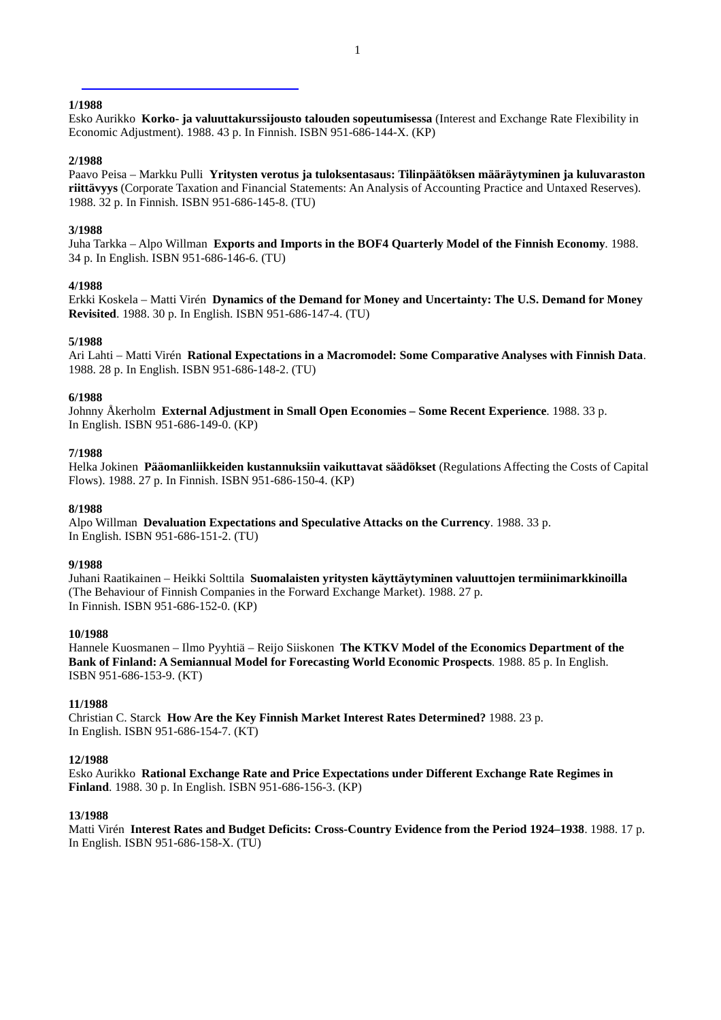Esko Aurikko **Korko- ja valuuttakurssijousto talouden sopeutumisessa** (Interest and Exchange Rate Flexibility in Economic Adjustment). 1988. 43 p. In Finnish. ISBN 951-686-144-X. (KP)

#### **2/1988**

Paavo Peisa – Markku Pulli **Yritysten verotus ja tuloksentasaus: Tilinpäätöksen määräytyminen ja kuluvaraston riittävyys** (Corporate Taxation and Financial Statements: An Analysis of Accounting Practice and Untaxed Reserves). 1988. 32 p. In Finnish. ISBN 951-686-145-8. (TU)

## **3/1988**

Juha Tarkka – Alpo Willman **Exports and Imports in the BOF4 Quarterly Model of the Finnish Economy**. 1988. 34 p. In English. ISBN 951-686-146-6. (TU)

### **4/1988**

Erkki Koskela – Matti Virén **Dynamics of the Demand for Money and Uncertainty: The U.S. Demand for Money Revisited**. 1988. 30 p. In English. ISBN 951-686-147-4. (TU)

## **5/1988**

Ari Lahti – Matti Virén **Rational Expectations in a Macromodel: Some Comparative Analyses with Finnish Data**. 1988. 28 p. In English. ISBN 951-686-148-2. (TU)

#### **6/1988**

Johnny Åkerholm **External Adjustment in Small Open Economies – Some Recent Experience**. 1988. 33 p. In English. ISBN 951-686-149-0. (KP)

#### **7/1988**

Helka Jokinen **Pääomanliikkeiden kustannuksiin vaikuttavat säädökset** (Regulations Affecting the Costs of Capital Flows). 1988. 27 p. In Finnish. ISBN 951-686-150-4. (KP)

#### **8/1988**

Alpo Willman **Devaluation Expectations and Speculative Attacks on the Currency**. 1988. 33 p. In English. ISBN 951-686-151-2. (TU)

#### **9/1988**

Juhani Raatikainen – Heikki Solttila **Suomalaisten yritysten käyttäytyminen valuuttojen termiinimarkkinoilla** (The Behaviour of Finnish Companies in the Forward Exchange Market). 1988. 27 p. In Finnish. ISBN 951-686-152-0. (KP)

### **10/1988**

Hannele Kuosmanen – Ilmo Pyyhtiä – Reijo Siiskonen **The KTKV Model of the Economics Department of the Bank of Finland: A Semiannual Model for Forecasting World Economic Prospects**. 1988. 85 p. In English. ISBN 951-686-153-9. (KT)

#### **11/1988**

Christian C. Starck **How Are the Key Finnish Market Interest Rates Determined?** 1988. 23 p. In English. ISBN 951-686-154-7. (KT)

#### **12/1988**

Esko Aurikko **Rational Exchange Rate and Price Expectations under Different Exchange Rate Regimes in Finland**. 1988. 30 p. In English. ISBN 951-686-156-3. (KP)

#### **13/1988**

Matti Virén **Interest Rates and Budget Deficits: Cross-Country Evidence from the Period 1924–1938**. 1988. 17 p. In English. ISBN 951-686-158-X. (TU)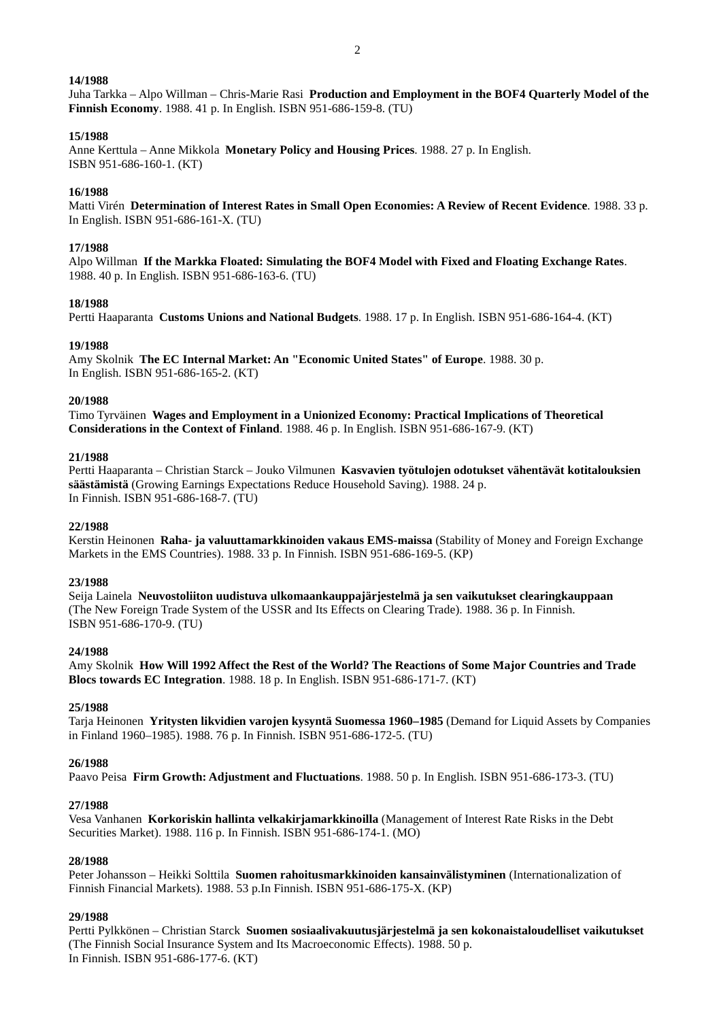Juha Tarkka – Alpo Willman – Chris-Marie Rasi **Production and Employment in the BOF4 Quarterly Model of the Finnish Economy**. 1988. 41 p. In English. ISBN 951-686-159-8. (TU)

#### **15/1988**

Anne Kerttula – Anne Mikkola **Monetary Policy and Housing Prices**. 1988. 27 p. In English. ISBN 951-686-160-1. (KT)

#### **16/1988**

Matti Virén **Determination of Interest Rates in Small Open Economies: A Review of Recent Evidence**. 1988. 33 p. In English. ISBN 951-686-161-X. (TU)

#### **17/1988**

Alpo Willman **If the Markka Floated: Simulating the BOF4 Model with Fixed and Floating Exchange Rates**. 1988. 40 p. In English. ISBN 951-686-163-6. (TU)

#### **18/1988**

Pertti Haaparanta **Customs Unions and National Budgets**. 1988. 17 p. In English. ISBN 951-686-164-4. (KT)

#### **19/1988**

Amy Skolnik **The EC Internal Market: An "Economic United States" of Europe**. 1988. 30 p. In English. ISBN 951-686-165-2. (KT)

#### **20/1988**

Timo Tyrväinen **Wages and Employment in a Unionized Economy: Practical Implications of Theoretical Considerations in the Context of Finland**. 1988. 46 p. In English. ISBN 951-686-167-9. (KT)

### **21/1988**

Pertti Haaparanta – Christian Starck – Jouko Vilmunen **Kasvavien työtulojen odotukset vähentävät kotitalouksien säästämistä** (Growing Earnings Expectations Reduce Household Saving). 1988. 24 p. In Finnish. ISBN 951-686-168-7. (TU)

#### **22/1988**

Kerstin Heinonen **Raha- ja valuuttamarkkinoiden vakaus EMS-maissa** (Stability of Money and Foreign Exchange Markets in the EMS Countries). 1988. 33 p. In Finnish. ISBN 951-686-169-5. (KP)

#### **23/1988**

Seija Lainela **Neuvostoliiton uudistuva ulkomaankauppajärjestelmä ja sen vaikutukset clearingkauppaan** (The New Foreign Trade System of the USSR and Its Effects on Clearing Trade). 1988. 36 p. In Finnish. ISBN 951-686-170-9. (TU)

#### **24/1988**

Amy Skolnik **How Will 1992 Affect the Rest of the World? The Reactions of Some Major Countries and Trade Blocs towards EC Integration**. 1988. 18 p. In English. ISBN 951-686-171-7. (KT)

### **25/1988**

Tarja Heinonen **Yritysten likvidien varojen kysyntä Suomessa 1960–1985** (Demand for Liquid Assets by Companies in Finland 1960–1985). 1988. 76 p. In Finnish. ISBN 951-686-172-5. (TU)

#### **26/1988**

Paavo Peisa **Firm Growth: Adjustment and Fluctuations**. 1988. 50 p. In English. ISBN 951-686-173-3. (TU)

#### **27/1988**

Vesa Vanhanen **Korkoriskin hallinta velkakirjamarkkinoilla** (Management of Interest Rate Risks in the Debt Securities Market). 1988. 116 p. In Finnish. ISBN 951-686-174-1. (MO)

#### **28/1988**

Peter Johansson – Heikki Solttila **Suomen rahoitusmarkkinoiden kansainvälistyminen** (Internationalization of Finnish Financial Markets). 1988. 53 p.In Finnish. ISBN 951-686-175-X. (KP)

### **29/1988**

Pertti Pylkkönen – Christian Starck **Suomen sosiaalivakuutusjärjestelmä ja sen kokonaistaloudelliset vaikutukset** (The Finnish Social Insurance System and Its Macroeconomic Effects). 1988. 50 p. In Finnish. ISBN 951-686-177-6. (KT)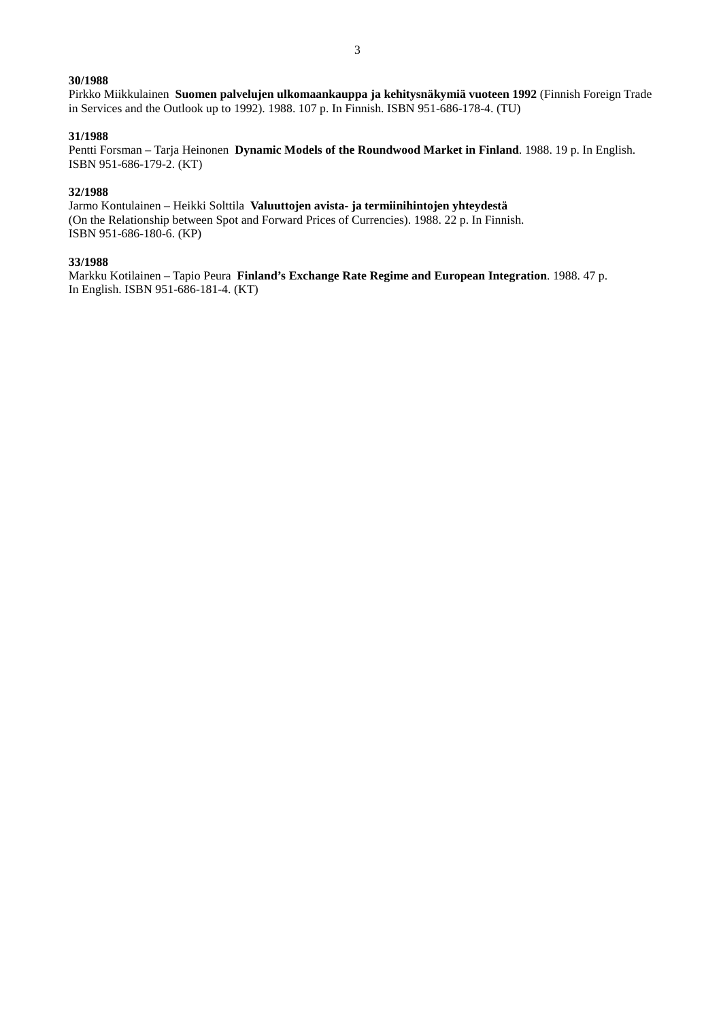Pirkko Miikkulainen **Suomen palvelujen ulkomaankauppa ja kehitysnäkymiä vuoteen 1992** (Finnish Foreign Trade in Services and the Outlook up to 1992). 1988. 107 p. In Finnish. ISBN 951-686-178-4. (TU)

# **31/1988**

Pentti Forsman – Tarja Heinonen **Dynamic Models of the Roundwood Market in Finland**. 1988. 19 p. In English. ISBN 951-686-179-2. (KT)

## **32/1988**

Jarmo Kontulainen – Heikki Solttila **Valuuttojen avista- ja termiinihintojen yhteydestä** (On the Relationship between Spot and Forward Prices of Currencies). 1988. 22 p. In Finnish. ISBN 951-686-180-6. (KP)

#### **33/1988**

Markku Kotilainen – Tapio Peura **Finland's Exchange Rate Regime and European Integration**. 1988. 47 p. In English. ISBN 951-686-181-4. (KT)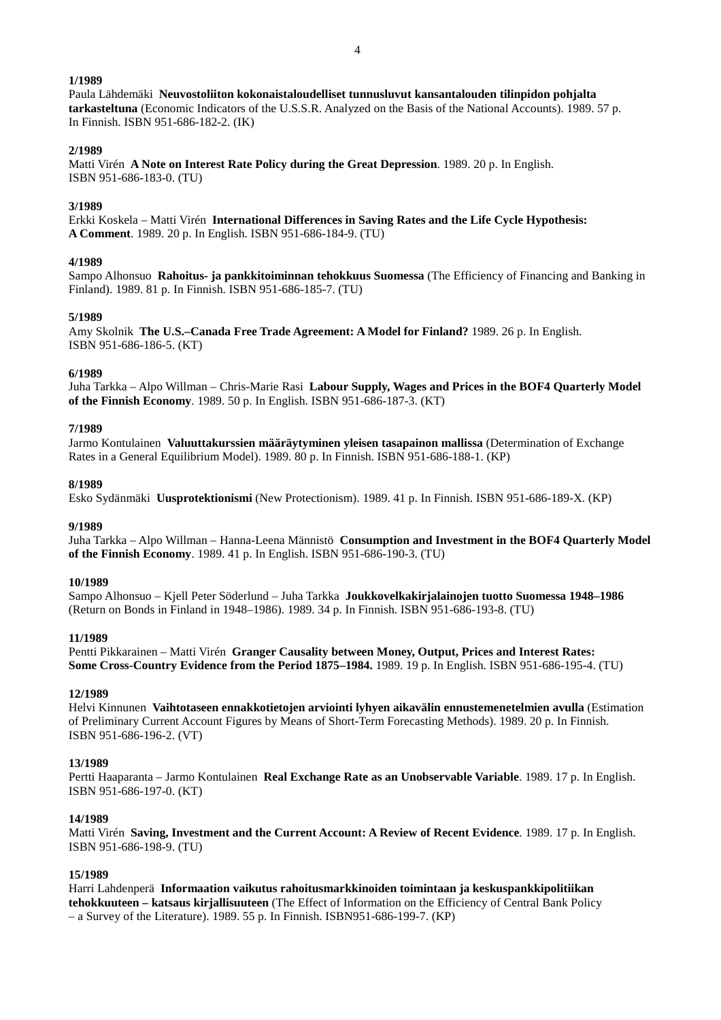4

### **1/1989**

Paula Lähdemäki **Neuvostoliiton kokonaistaloudelliset tunnusluvut kansantalouden tilinpidon pohjalta tarkasteltuna** (Economic Indicators of the U.S.S.R. Analyzed on the Basis of the National Accounts). 1989. 57 p. In Finnish. ISBN 951-686-182-2. (IK)

### **2/1989**

Matti Virén **A Note on Interest Rate Policy during the Great Depression**. 1989. 20 p. In English. ISBN 951-686-183-0. (TU)

## **3/1989**

Erkki Koskela – Matti Virén **International Differences in Saving Rates and the Life Cycle Hypothesis: A Comment**. 1989. 20 p. In English. ISBN 951-686-184-9. (TU)

#### **4/1989**

Sampo Alhonsuo **Rahoitus- ja pankkitoiminnan tehokkuus Suomessa** (The Efficiency of Financing and Banking in Finland). 1989. 81 p. In Finnish. ISBN 951-686-185-7. (TU)

## **5/1989**

Amy Skolnik **The U.S.–Canada Free Trade Agreement: A Model for Finland?** 1989. 26 p. In English. ISBN 951-686-186-5. (KT)

#### **6/1989**

Juha Tarkka – Alpo Willman – Chris-Marie Rasi **Labour Supply, Wages and Prices in the BOF4 Quarterly Model of the Finnish Economy**. 1989. 50 p. In English. ISBN 951-686-187-3. (KT)

#### **7/1989**

Jarmo Kontulainen **Valuuttakurssien määräytyminen yleisen tasapainon mallissa** (Determination of Exchange Rates in a General Equilibrium Model). 1989. 80 p. In Finnish. ISBN 951-686-188-1. (KP)

#### **8/1989**

Esko Sydänmäki **Uusprotektionismi** (New Protectionism). 1989. 41 p. In Finnish. ISBN 951-686-189-X. (KP)

#### **9/1989**

Juha Tarkka – Alpo Willman – Hanna-Leena Männistö **Consumption and Investment in the BOF4 Quarterly Model of the Finnish Economy**. 1989. 41 p. In English. ISBN 951-686-190-3. (TU)

#### **10/1989**

Sampo Alhonsuo – Kjell Peter Söderlund – Juha Tarkka **Joukkovelkakirjalainojen tuotto Suomessa 1948–1986** (Return on Bonds in Finland in 1948–1986). 1989. 34 p. In Finnish. ISBN 951-686-193-8. (TU)

#### **11/1989**

Pentti Pikkarainen – Matti Virén **Granger Causality between Money, Output, Prices and Interest Rates: Some Cross-Country Evidence from the Period 1875–1984.** 1989. 19 p. In English. ISBN 951-686-195-4. (TU)

#### **12/1989**

Helvi Kinnunen **Vaihtotaseen ennakkotietojen arviointi lyhyen aikavälin ennustemenetelmien avulla** (Estimation of Preliminary Current Account Figures by Means of Short-Term Forecasting Methods). 1989. 20 p. In Finnish. ISBN 951-686-196-2. (VT)

#### **13/1989**

Pertti Haaparanta – Jarmo Kontulainen **Real Exchange Rate as an Unobservable Variable**. 1989. 17 p. In English. ISBN 951-686-197-0. (KT)

#### **14/1989**

Matti Virén **Saving, Investment and the Current Account: A Review of Recent Evidence**. 1989. 17 p. In English. ISBN 951-686-198-9. (TU)

### **15/1989**

Harri Lahdenperä **Informaation vaikutus rahoitusmarkkinoiden toimintaan ja keskuspankkipolitiikan tehokkuuteen – katsaus kirjallisuuteen** (The Effect of Information on the Efficiency of Central Bank Policy – a Survey of the Literature). 1989. 55 p. In Finnish. ISBN951-686-199-7. (KP)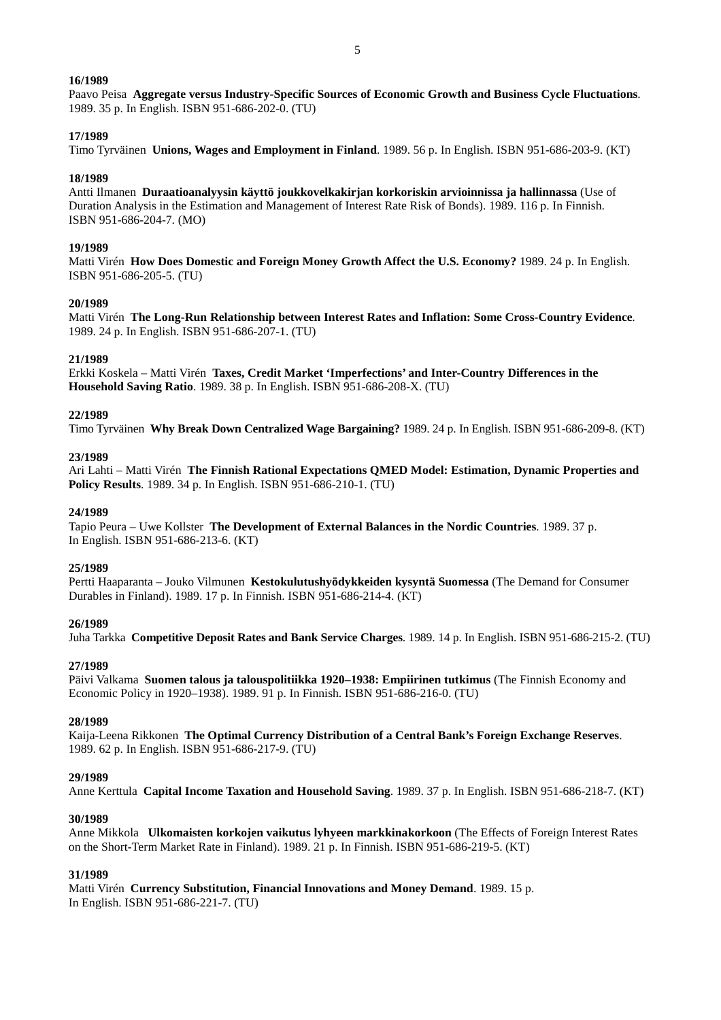Paavo Peisa **Aggregate versus Industry-Specific Sources of Economic Growth and Business Cycle Fluctuations**. 1989. 35 p. In English. ISBN 951-686-202-0. (TU)

#### **17/1989**

Timo Tyrväinen **Unions, Wages and Employment in Finland**. 1989. 56 p. In English. ISBN 951-686-203-9. (KT)

#### **18/1989**

Antti Ilmanen **Duraatioanalyysin käyttö joukkovelkakirjan korkoriskin arvioinnissa ja hallinnassa** (Use of Duration Analysis in the Estimation and Management of Interest Rate Risk of Bonds). 1989. 116 p. In Finnish. ISBN 951-686-204-7. (MO)

#### **19/1989**

Matti Virén **How Does Domestic and Foreign Money Growth Affect the U.S. Economy?** 1989. 24 p. In English. ISBN 951-686-205-5. (TU)

#### **20/1989**

Matti Virén **The Long-Run Relationship between Interest Rates and Inflation: Some Cross-Country Evidence**. 1989. 24 p. In English. ISBN 951-686-207-1. (TU)

#### **21/1989**

Erkki Koskela – Matti Virén **Taxes, Credit Market 'Imperfections' and Inter-Country Differences in the Household Saving Ratio**. 1989. 38 p. In English. ISBN 951-686-208-X. (TU)

#### **22/1989**

Timo Tyrväinen **Why Break Down Centralized Wage Bargaining?** 1989. 24 p. In English. ISBN 951-686-209-8. (KT)

#### **23/1989**

Ari Lahti – Matti Virén **The Finnish Rational Expectations QMED Model: Estimation, Dynamic Properties and Policy Results**. 1989. 34 p. In English. ISBN 951-686-210-1. (TU)

#### **24/1989**

Tapio Peura – Uwe Kollster **The Development of External Balances in the Nordic Countries**. 1989. 37 p. In English. ISBN 951-686-213-6. (KT)

#### **25/1989**

Pertti Haaparanta – Jouko Vilmunen **Kestokulutushyödykkeiden kysyntä Suomessa** (The Demand for Consumer Durables in Finland). 1989. 17 p. In Finnish. ISBN 951-686-214-4. (KT)

### **26/1989**

Juha Tarkka **Competitive Deposit Rates and Bank Service Charges**. 1989. 14 p. In English. ISBN 951-686-215-2. (TU)

### **27/1989**

Päivi Valkama **Suomen talous ja talouspolitiikka 1920–1938: Empiirinen tutkimus** (The Finnish Economy and Economic Policy in 1920–1938). 1989. 91 p. In Finnish. ISBN 951-686-216-0. (TU)

### **28/1989**

Kaija-Leena Rikkonen **The Optimal Currency Distribution of a Central Bank's Foreign Exchange Reserves**. 1989. 62 p. In English. ISBN 951-686-217-9. (TU)

## **29/1989**

Anne Kerttula **Capital Income Taxation and Household Saving**. 1989. 37 p. In English. ISBN 951-686-218-7. (KT)

### **30/1989**

Anne Mikkola **Ulkomaisten korkojen vaikutus lyhyeen markkinakorkoon** (The Effects of Foreign Interest Rates on the Short-Term Market Rate in Finland). 1989. 21 p. In Finnish. ISBN 951-686-219-5. (KT)

### **31/1989**

Matti Virén **Currency Substitution, Financial Innovations and Money Demand**. 1989. 15 p. In English. ISBN 951-686-221-7. (TU)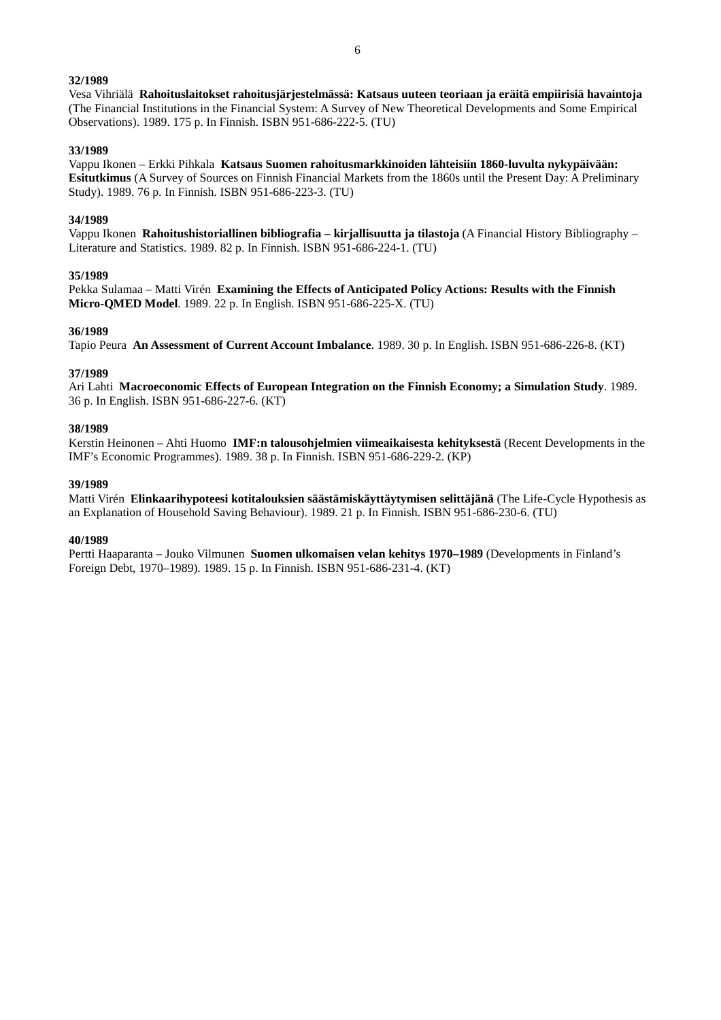Vesa Vihriälä **Rahoituslaitokset rahoitusjärjestelmässä: Katsaus uuteen teoriaan ja eräitä empiirisiä havaintoja** (The Financial Institutions in the Financial System: A Survey of New Theoretical Developments and Some Empirical Observations). 1989. 175 p. In Finnish. ISBN 951-686-222-5. (TU)

## **33/1989**

Vappu Ikonen – Erkki Pihkala **Katsaus Suomen rahoitusmarkkinoiden lähteisiin 1860-luvulta nykypäivään: Esitutkimus** (A Survey of Sources on Finnish Financial Markets from the 1860s until the Present Day: A Preliminary Study). 1989. 76 p. In Finnish. ISBN 951-686-223-3. (TU)

### **34/1989**

Vappu Ikonen **Rahoitushistoriallinen bibliografia – kirjallisuutta ja tilastoja** (A Financial History Bibliography – Literature and Statistics. 1989. 82 p. In Finnish. ISBN 951-686-224-1. (TU)

### **35/1989**

Pekka Sulamaa – Matti Virén **Examining the Effects of Anticipated Policy Actions: Results with the Finnish Micro-QMED Model**. 1989. 22 p. In English. ISBN 951-686-225-X. (TU)

## **36/1989**

Tapio Peura **An Assessment of Current Account Imbalance**. 1989. 30 p. In English. ISBN 951-686-226-8. (KT)

## **37/1989**

Ari Lahti **Macroeconomic Effects of European Integration on the Finnish Economy; a Simulation Study**. 1989. 36 p. In English. ISBN 951-686-227-6. (KT)

## **38/1989**

Kerstin Heinonen – Ahti Huomo **IMF:n talousohjelmien viimeaikaisesta kehityksestä** (Recent Developments in the IMF's Economic Programmes). 1989. 38 p. In Finnish. ISBN 951-686-229-2. (KP)

## **39/1989**

Matti Virén **Elinkaarihypoteesi kotitalouksien säästämiskäyttäytymisen selittäjänä** (The Life-Cycle Hypothesis as an Explanation of Household Saving Behaviour). 1989. 21 p. In Finnish. ISBN 951-686-230-6. (TU)

### **40/1989**

Pertti Haaparanta – Jouko Vilmunen **Suomen ulkomaisen velan kehitys 1970–1989** (Developments in Finland's Foreign Debt, 1970–1989). 1989. 15 p. In Finnish. ISBN 951-686-231-4. (KT)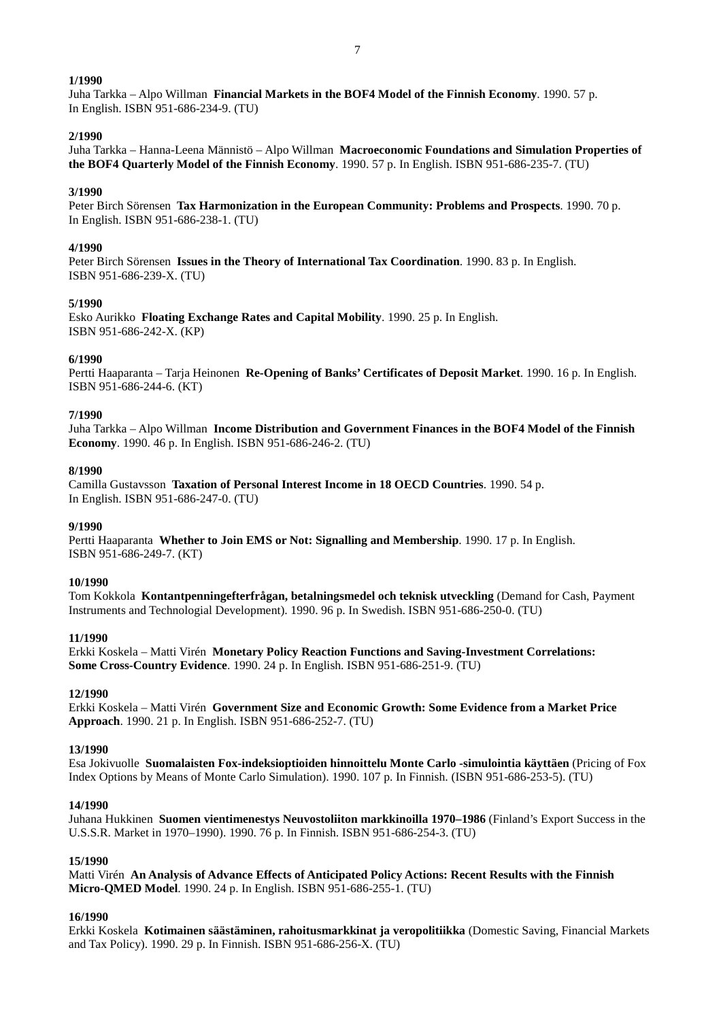Juha Tarkka – Alpo Willman **Financial Markets in the BOF4 Model of the Finnish Economy**. 1990. 57 p. In English. ISBN 951-686-234-9. (TU)

#### **2/1990**

Juha Tarkka – Hanna-Leena Männistö – Alpo Willman **Macroeconomic Foundations and Simulation Properties of the BOF4 Quarterly Model of the Finnish Economy**. 1990. 57 p. In English. ISBN 951-686-235-7. (TU)

#### **3/1990**

Peter Birch Sörensen **Tax Harmonization in the European Community: Problems and Prospects**. 1990. 70 p. In English. ISBN 951-686-238-1. (TU)

#### **4/1990**

Peter Birch Sörensen **Issues in the Theory of International Tax Coordination**. 1990. 83 p. In English. ISBN 951-686-239-X. (TU)

#### **5/1990**

Esko Aurikko **Floating Exchange Rates and Capital Mobility**. 1990. 25 p. In English. ISBN 951-686-242-X. (KP)

#### **6/1990**

Pertti Haaparanta – Tarja Heinonen **Re-Opening of Banks' Certificates of Deposit Market**. 1990. 16 p. In English. ISBN 951-686-244-6. (KT)

#### **7/1990**

Juha Tarkka – Alpo Willman **Income Distribution and Government Finances in the BOF4 Model of the Finnish Economy**. 1990. 46 p. In English. ISBN 951-686-246-2. (TU)

## **8/1990**

Camilla Gustavsson **Taxation of Personal Interest Income in 18 OECD Countries**. 1990. 54 p. In English. ISBN 951-686-247-0. (TU)

#### **9/1990**

Pertti Haaparanta **Whether to Join EMS or Not: Signalling and Membership**. 1990. 17 p. In English. ISBN 951-686-249-7. (KT)

#### **10/1990**

Tom Kokkola **Kontantpenningefterfrågan, betalningsmedel och teknisk utveckling** (Demand for Cash, Payment Instruments and Technologial Development). 1990. 96 p. In Swedish. ISBN 951-686-250-0. (TU)

#### **11/1990**

Erkki Koskela – Matti Virén **Monetary Policy Reaction Functions and Saving-Investment Correlations: Some Cross-Country Evidence**. 1990. 24 p. In English. ISBN 951-686-251-9. (TU)

#### **12/1990**

Erkki Koskela – Matti Virén **Government Size and Economic Growth: Some Evidence from a Market Price Approach**. 1990. 21 p. In English. ISBN 951-686-252-7. (TU)

#### **13/1990**

Esa Jokivuolle **Suomalaisten Fox-indeksioptioiden hinnoittelu Monte Carlo -simulointia käyttäen** (Pricing of Fox Index Options by Means of Monte Carlo Simulation). 1990. 107 p. In Finnish. (ISBN 951-686-253-5). (TU)

#### **14/1990**

Juhana Hukkinen **Suomen vientimenestys Neuvostoliiton markkinoilla 1970–1986** (Finland's Export Success in the U.S.S.R. Market in 1970–1990). 1990. 76 p. In Finnish. ISBN 951-686-254-3. (TU)

#### **15/1990**

Matti Virén **An Analysis of Advance Effects of Anticipated Policy Actions: Recent Results with the Finnish Micro-QMED Model**. 1990. 24 p. In English. ISBN 951-686-255-1. (TU)

### **16/1990**

Erkki Koskela **Kotimainen säästäminen, rahoitusmarkkinat ja veropolitiikka** (Domestic Saving, Financial Markets and Tax Policy). 1990. 29 p. In Finnish. ISBN 951-686-256-X. (TU)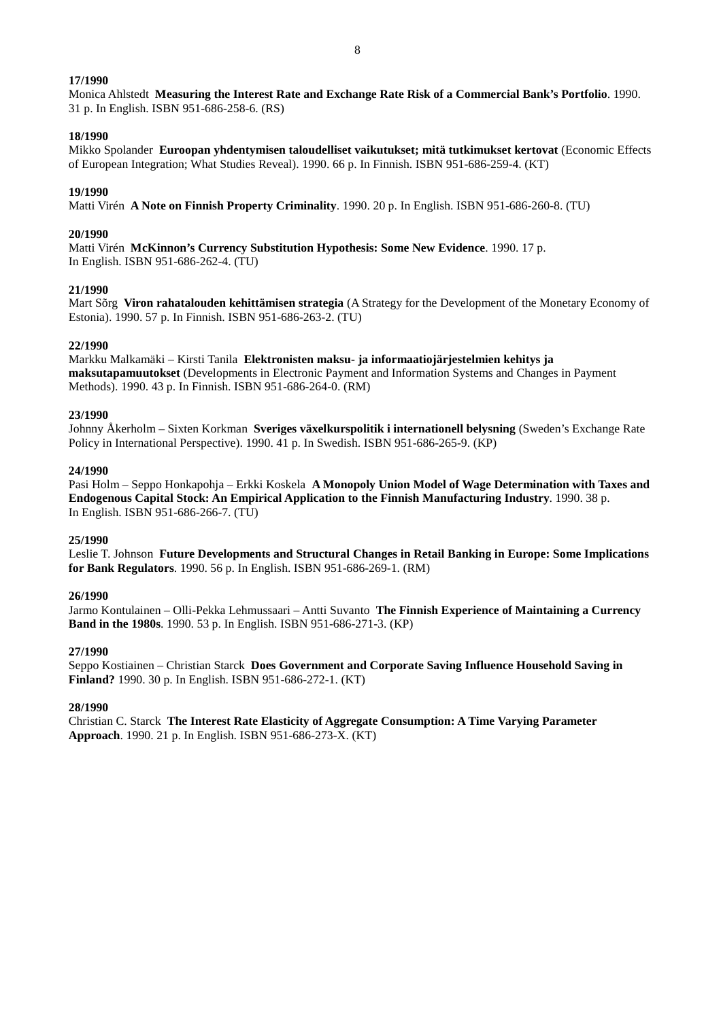Monica Ahlstedt **Measuring the Interest Rate and Exchange Rate Risk of a Commercial Bank's Portfolio**. 1990. 31 p. In English. ISBN 951-686-258-6. (RS)

### **18/1990**

Mikko Spolander **Euroopan yhdentymisen taloudelliset vaikutukset; mitä tutkimukset kertovat** (Economic Effects of European Integration; What Studies Reveal). 1990. 66 p. In Finnish. ISBN 951-686-259-4. (KT)

## **19/1990**

Matti Virén **A Note on Finnish Property Criminality**. 1990. 20 p. In English. ISBN 951-686-260-8. (TU)

## **20/1990**

Matti Virén **McKinnon's Currency Substitution Hypothesis: Some New Evidence**. 1990. 17 p. In English. ISBN 951-686-262-4. (TU)

## **21/1990**

Mart Sõrg **Viron rahatalouden kehittämisen strategia** (A Strategy for the Development of the Monetary Economy of Estonia). 1990. 57 p. In Finnish. ISBN 951-686-263-2. (TU)

### **22/1990**

Markku Malkamäki – Kirsti Tanila **Elektronisten maksu- ja informaatiojärjestelmien kehitys ja maksutapamuutokset** (Developments in Electronic Payment and Information Systems and Changes in Payment Methods). 1990. 43 p. In Finnish. ISBN 951-686-264-0. (RM)

## **23/1990**

Johnny Åkerholm – Sixten Korkman **Sveriges växelkurspolitik i internationell belysning** (Sweden's Exchange Rate Policy in International Perspective). 1990. 41 p. In Swedish. ISBN 951-686-265-9. (KP)

## **24/1990**

Pasi Holm – Seppo Honkapohja – Erkki Koskela **A Monopoly Union Model of Wage Determination with Taxes and Endogenous Capital Stock: An Empirical Application to the Finnish Manufacturing Industry**. 1990. 38 p. In English. ISBN 951-686-266-7. (TU)

### **25/1990**

Leslie T. Johnson **Future Developments and Structural Changes in Retail Banking in Europe: Some Implications for Bank Regulators**. 1990. 56 p. In English. ISBN 951-686-269-1. (RM)

## **26/1990**

Jarmo Kontulainen – Olli-Pekka Lehmussaari – Antti Suvanto **The Finnish Experience of Maintaining a Currency Band in the 1980s**. 1990. 53 p. In English. ISBN 951-686-271-3. (KP)

### **27/1990**

Seppo Kostiainen – Christian Starck **Does Government and Corporate Saving Influence Household Saving in Finland?** 1990. 30 p. In English. ISBN 951-686-272-1. (KT)

### **28/1990**

Christian C. Starck **The Interest Rate Elasticity of Aggregate Consumption: A Time Varying Parameter Approach**. 1990. 21 p. In English. ISBN 951-686-273-X. (KT)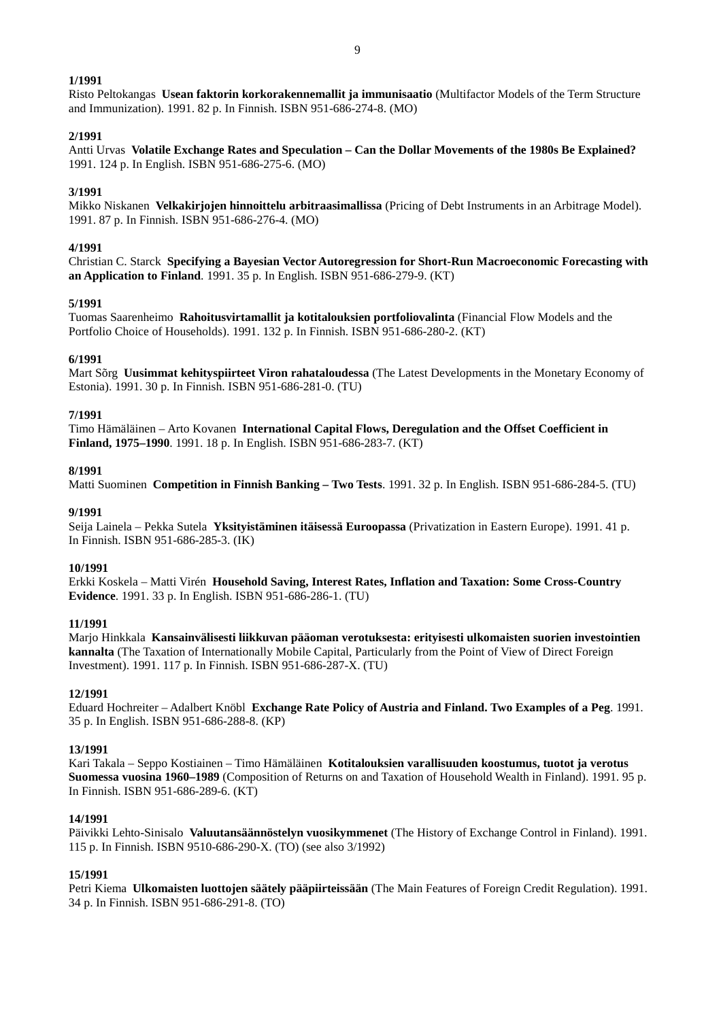Risto Peltokangas **Usean faktorin korkorakennemallit ja immunisaatio** (Multifactor Models of the Term Structure and Immunization). 1991. 82 p. In Finnish. ISBN 951-686-274-8. (MO)

## **2/1991**

Antti Urvas **Volatile Exchange Rates and Speculation – Can the Dollar Movements of the 1980s Be Explained?** 1991. 124 p. In English. ISBN 951-686-275-6. (MO)

## **3/1991**

Mikko Niskanen **Velkakirjojen hinnoittelu arbitraasimallissa** (Pricing of Debt Instruments in an Arbitrage Model). 1991. 87 p. In Finnish. ISBN 951-686-276-4. (MO)

## **4/1991**

Christian C. Starck **Specifying a Bayesian Vector Autoregression for Short-Run Macroeconomic Forecasting with an Application to Finland**. 1991. 35 p. In English. ISBN 951-686-279-9. (KT)

### **5/1991**

Tuomas Saarenheimo **Rahoitusvirtamallit ja kotitalouksien portfoliovalinta** (Financial Flow Models and the Portfolio Choice of Households). 1991. 132 p. In Finnish. ISBN 951-686-280-2. (KT)

### **6/1991**

Mart Sõrg **Uusimmat kehityspiirteet Viron rahataloudessa** (The Latest Developments in the Monetary Economy of Estonia). 1991. 30 p. In Finnish. ISBN 951-686-281-0. (TU)

### **7/1991**

Timo Hämäläinen – Arto Kovanen **International Capital Flows, Deregulation and the Offset Coefficient in Finland, 1975–1990**. 1991. 18 p. In English. ISBN 951-686-283-7. (KT)

### **8/1991**

Matti Suominen **Competition in Finnish Banking – Two Tests**. 1991. 32 p. In English. ISBN 951-686-284-5. (TU)

#### **9/1991**

Seija Lainela – Pekka Sutela **Yksityistäminen itäisessä Euroopassa** (Privatization in Eastern Europe). 1991. 41 p. In Finnish. ISBN 951-686-285-3. (IK)

#### **10/1991**

Erkki Koskela – Matti Virén **Household Saving, Interest Rates, Inflation and Taxation: Some Cross-Country Evidence**. 1991. 33 p. In English. ISBN 951-686-286-1. (TU)

### **11/1991**

Marjo Hinkkala **Kansainvälisesti liikkuvan pääoman verotuksesta: erityisesti ulkomaisten suorien investointien kannalta** (The Taxation of Internationally Mobile Capital, Particularly from the Point of View of Direct Foreign Investment). 1991. 117 p. In Finnish. ISBN 951-686-287-X. (TU)

### **12/1991**

Eduard Hochreiter – Adalbert Knöbl **Exchange Rate Policy of Austria and Finland. Two Examples of a Peg**. 1991. 35 p. In English. ISBN 951-686-288-8. (KP)

### **13/1991**

Kari Takala – Seppo Kostiainen – Timo Hämäläinen **Kotitalouksien varallisuuden koostumus, tuotot ja verotus Suomessa vuosina 1960–1989** (Composition of Returns on and Taxation of Household Wealth in Finland). 1991. 95 p. In Finnish. ISBN 951-686-289-6. (KT)

### **14/1991**

Päivikki Lehto-Sinisalo **Valuutansäännöstelyn vuosikymmenet** (The History of Exchange Control in Finland). 1991. 115 p. In Finnish. ISBN 9510-686-290-X. (TO) (see also 3/1992)

## **15/1991**

Petri Kiema **Ulkomaisten luottojen säätely pääpiirteissään** (The Main Features of Foreign Credit Regulation). 1991. 34 p. In Finnish. ISBN 951-686-291-8. (TO)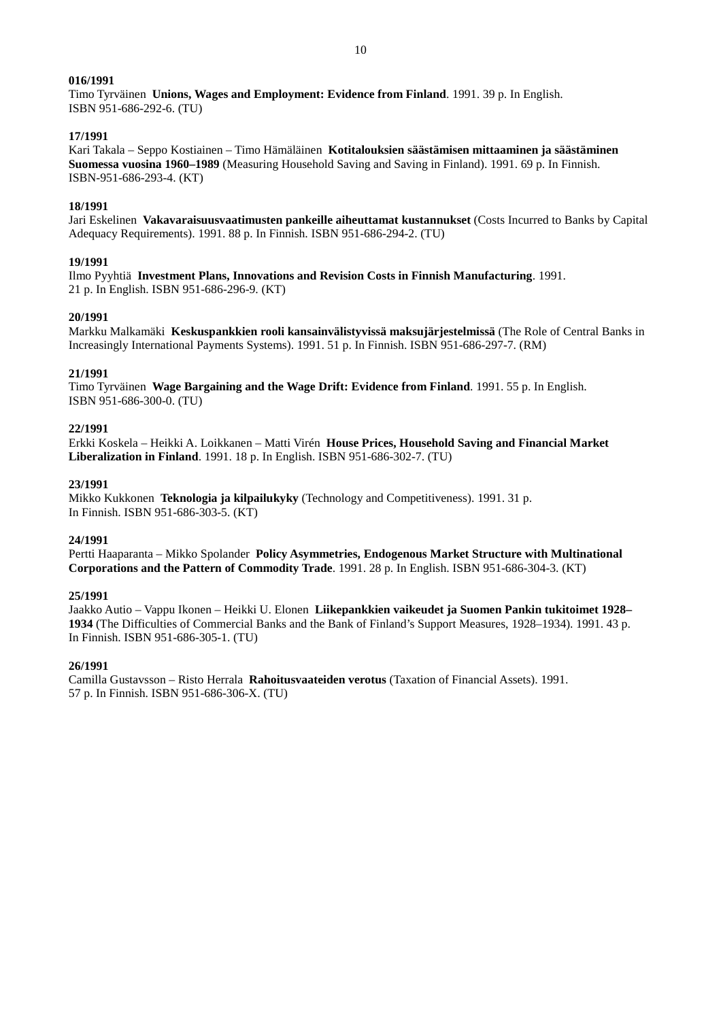Timo Tyrväinen **Unions, Wages and Employment: Evidence from Finland**. 1991. 39 p. In English. ISBN 951-686-292-6. (TU)

## **17/1991**

Kari Takala – Seppo Kostiainen – Timo Hämäläinen **Kotitalouksien säästämisen mittaaminen ja säästäminen Suomessa vuosina 1960–1989** (Measuring Household Saving and Saving in Finland). 1991. 69 p. In Finnish. ISBN-951-686-293-4. (KT)

## **18/1991**

Jari Eskelinen **Vakavaraisuusvaatimusten pankeille aiheuttamat kustannukset** (Costs Incurred to Banks by Capital Adequacy Requirements). 1991. 88 p. In Finnish. ISBN 951-686-294-2. (TU)

## **19/1991**

Ilmo Pyyhtiä **Investment Plans, Innovations and Revision Costs in Finnish Manufacturing**. 1991. 21 p. In English. ISBN 951-686-296-9. (KT)

## **20/1991**

Markku Malkamäki **Keskuspankkien rooli kansainvälistyvissä maksujärjestelmissä** (The Role of Central Banks in Increasingly International Payments Systems). 1991. 51 p. In Finnish. ISBN 951-686-297-7. (RM)

## **21/1991**

Timo Tyrväinen **Wage Bargaining and the Wage Drift: Evidence from Finland**. 1991. 55 p. In English. ISBN 951-686-300-0. (TU)

## **22/1991**

Erkki Koskela – Heikki A. Loikkanen – Matti Virén **House Prices, Household Saving and Financial Market Liberalization in Finland**. 1991. 18 p. In English. ISBN 951-686-302-7. (TU)

## **23/1991**

Mikko Kukkonen **Teknologia ja kilpailukyky** (Technology and Competitiveness). 1991. 31 p. In Finnish. ISBN 951-686-303-5. (KT)

## **24/1991**

Pertti Haaparanta – Mikko Spolander **Policy Asymmetries, Endogenous Market Structure with Multinational Corporations and the Pattern of Commodity Trade**. 1991. 28 p. In English. ISBN 951-686-304-3. (KT)

### **25/1991**

Jaakko Autio – Vappu Ikonen – Heikki U. Elonen **Liikepankkien vaikeudet ja Suomen Pankin tukitoimet 1928– 1934** (The Difficulties of Commercial Banks and the Bank of Finland's Support Measures, 1928–1934). 1991. 43 p. In Finnish. ISBN 951-686-305-1. (TU)

### **26/1991**

Camilla Gustavsson – Risto Herrala **Rahoitusvaateiden verotus** (Taxation of Financial Assets). 1991. 57 p. In Finnish. ISBN 951-686-306-X. (TU)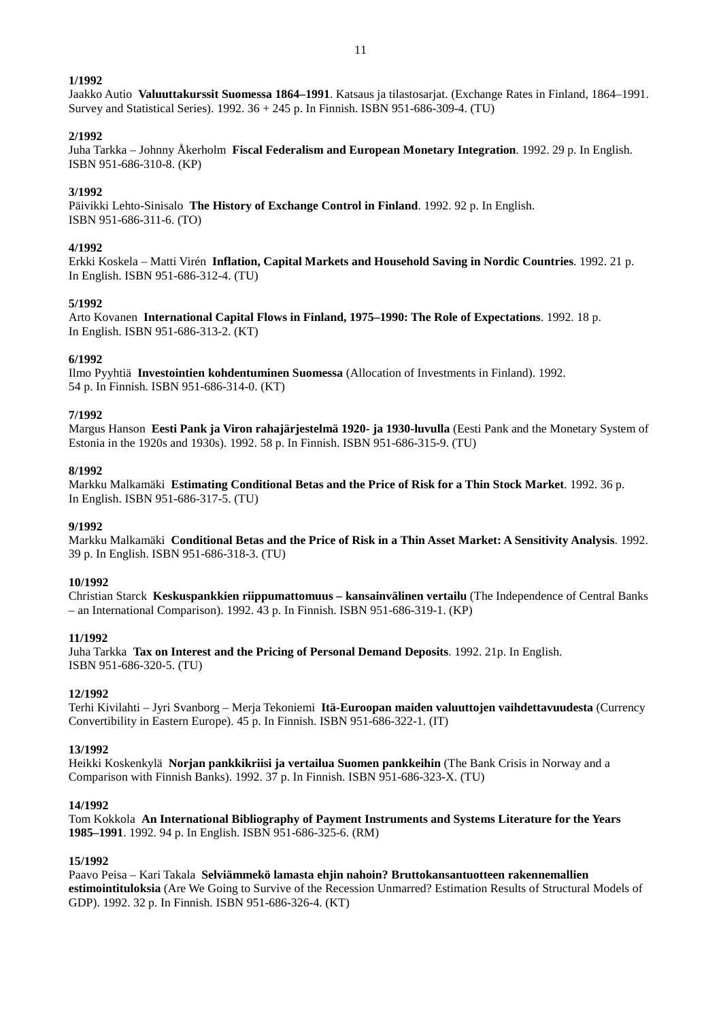Jaakko Autio **Valuuttakurssit Suomessa 1864–1991**. Katsaus ja tilastosarjat. (Exchange Rates in Finland, 1864–1991. Survey and Statistical Series). 1992. 36 + 245 p. In Finnish. ISBN 951-686-309-4. (TU)

# **2/1992**

Juha Tarkka – Johnny Åkerholm **Fiscal Federalism and European Monetary Integration**. 1992. 29 p. In English. ISBN 951-686-310-8. (KP)

# **3/1992**

Päivikki Lehto-Sinisalo **The History of Exchange Control in Finland**. 1992. 92 p. In English. ISBN 951-686-311-6. (TO)

## **4/1992**

Erkki Koskela – Matti Virén **Inflation, Capital Markets and Household Saving in Nordic Countries**. 1992. 21 p. In English. ISBN 951-686-312-4. (TU)

## **5/1992**

Arto Kovanen **International Capital Flows in Finland, 1975–1990: The Role of Expectations**. 1992. 18 p. In English. ISBN 951-686-313-2. (KT)

## **6/1992**

Ilmo Pyyhtiä **Investointien kohdentuminen Suomessa** (Allocation of Investments in Finland). 1992. 54 p. In Finnish. ISBN 951-686-314-0. (KT)

## **7/1992**

Margus Hanson **Eesti Pank ja Viron rahajärjestelmä 1920- ja 1930-luvulla** (Eesti Pank and the Monetary System of Estonia in the 1920s and 1930s). 1992. 58 p. In Finnish. ISBN 951-686-315-9. (TU)

## **8/1992**

Markku Malkamäki **Estimating Conditional Betas and the Price of Risk for a Thin Stock Market**. 1992. 36 p. In English. ISBN 951-686-317-5. (TU)

### **9/1992**

Markku Malkamäki **Conditional Betas and the Price of Risk in a Thin Asset Market: A Sensitivity Analysis**. 1992. 39 p. In English. ISBN 951-686-318-3. (TU)

### **10/1992**

Christian Starck **Keskuspankkien riippumattomuus – kansainvälinen vertailu** (The Independence of Central Banks – an International Comparison). 1992. 43 p. In Finnish. ISBN 951-686-319-1. (KP)

## **11/1992**

Juha Tarkka **Tax on Interest and the Pricing of Personal Demand Deposits**. 1992. 21p. In English. ISBN 951-686-320-5. (TU)

### **12/1992**

Terhi Kivilahti – Jyri Svanborg – Merja Tekoniemi **Itä-Euroopan maiden valuuttojen vaihdettavuudesta** (Currency Convertibility in Eastern Europe). 45 p. In Finnish. ISBN 951-686-322-1. (IT)

### **13/1992**

Heikki Koskenkylä **Norjan pankkikriisi ja vertailua Suomen pankkeihin** (The Bank Crisis in Norway and a Comparison with Finnish Banks). 1992. 37 p. In Finnish. ISBN 951-686-323-X. (TU)

### **14/1992**

Tom Kokkola **An International Bibliography of Payment Instruments and Systems Literature for the Years 1985–1991**. 1992. 94 p. In English. ISBN 951-686-325-6. (RM)

### **15/1992**

Paavo Peisa – Kari Takala **Selviämmekö lamasta ehjin nahoin? Bruttokansantuotteen rakennemallien estimointituloksia** (Are We Going to Survive of the Recession Unmarred? Estimation Results of Structural Models of GDP). 1992. 32 p. In Finnish. ISBN 951-686-326-4. (KT)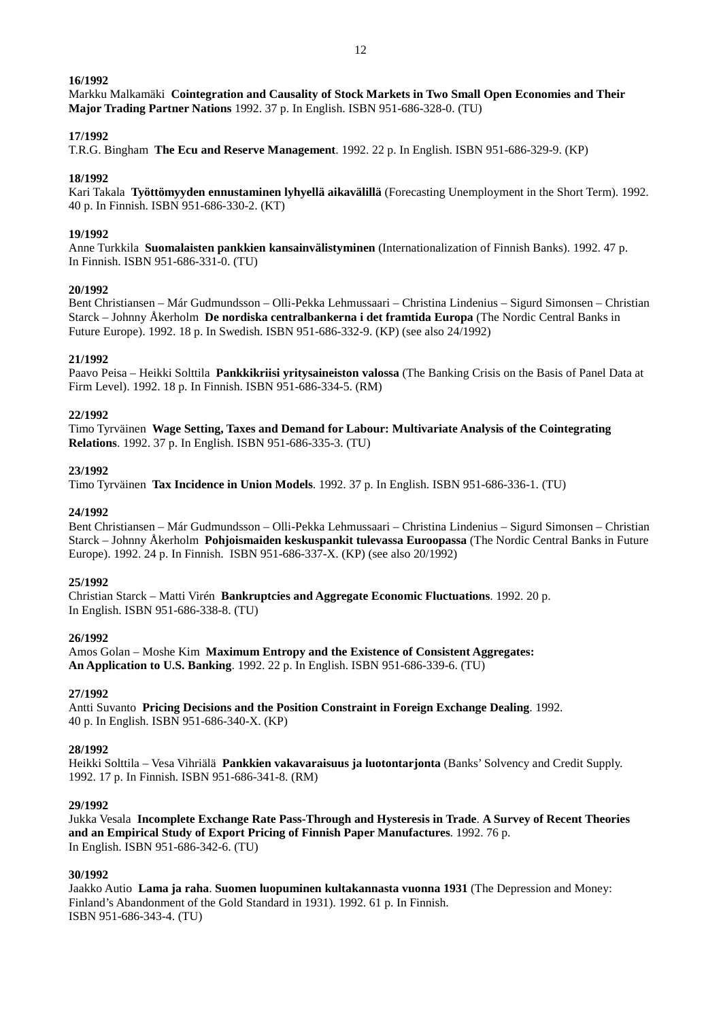Markku Malkamäki **Cointegration and Causality of Stock Markets in Two Small Open Economies and Their Major Trading Partner Nations** 1992. 37 p. In English. ISBN 951-686-328-0. (TU)

## **17/1992**

T.R.G. Bingham **The Ecu and Reserve Management**. 1992. 22 p. In English. ISBN 951-686-329-9. (KP)

## **18/1992**

Kari Takala **Työttömyyden ennustaminen lyhyellä aikavälillä** (Forecasting Unemployment in the Short Term). 1992. 40 p. In Finnish. ISBN 951-686-330-2. (KT)

## **19/1992**

Anne Turkkila **Suomalaisten pankkien kansainvälistyminen** (Internationalization of Finnish Banks). 1992. 47 p. In Finnish. ISBN 951-686-331-0. (TU)

## **20/1992**

Bent Christiansen – Már Gudmundsson – Olli-Pekka Lehmussaari – Christina Lindenius – Sigurd Simonsen – Christian Starck – Johnny Åkerholm **De nordiska centralbankerna i det framtida Europa** (The Nordic Central Banks in Future Europe). 1992. 18 p. In Swedish. ISBN 951-686-332-9. (KP) (see also 24/1992)

## **21/1992**

Paavo Peisa – Heikki Solttila **Pankkikriisi yritysaineiston valossa** (The Banking Crisis on the Basis of Panel Data at Firm Level). 1992. 18 p. In Finnish. ISBN 951-686-334-5. (RM)

## **22/1992**

Timo Tyrväinen **Wage Setting, Taxes and Demand for Labour: Multivariate Analysis of the Cointegrating Relations**. 1992. 37 p. In English. ISBN 951-686-335-3. (TU)

## **23/1992**

Timo Tyrväinen **Tax Incidence in Union Models**. 1992. 37 p. In English. ISBN 951-686-336-1. (TU)

## **24/1992**

Bent Christiansen – Már Gudmundsson – Olli-Pekka Lehmussaari – Christina Lindenius – Sigurd Simonsen – Christian Starck – Johnny Åkerholm **Pohjoismaiden keskuspankit tulevassa Euroopassa** (The Nordic Central Banks in Future Europe). 1992. 24 p. In Finnish. ISBN 951-686-337-X. (KP) (see also 20/1992)

## **25/1992**

Christian Starck – Matti Virén **Bankruptcies and Aggregate Economic Fluctuations**. 1992. 20 p. In English. ISBN 951-686-338-8. (TU)

## **26/1992**

Amos Golan – Moshe Kim **Maximum Entropy and the Existence of Consistent Aggregates: An Application to U.S. Banking**. 1992. 22 p. In English. ISBN 951-686-339-6. (TU)

## **27/1992**

Antti Suvanto **Pricing Decisions and the Position Constraint in Foreign Exchange Dealing**. 1992. 40 p. In English. ISBN 951-686-340-X. (KP)

## **28/1992**

Heikki Solttila – Vesa Vihriälä **Pankkien vakavaraisuus ja luotontarjonta** (Banks' Solvency and Credit Supply. 1992. 17 p. In Finnish. ISBN 951-686-341-8. (RM)

### **29/1992**

Jukka Vesala **Incomplete Exchange Rate Pass-Through and Hysteresis in Trade**. **A Survey of Recent Theories and an Empirical Study of Export Pricing of Finnish Paper Manufactures**. 1992. 76 p. In English. ISBN 951-686-342-6. (TU)

### **30/1992**

Jaakko Autio **Lama ja raha**. **Suomen luopuminen kultakannasta vuonna 1931** (The Depression and Money: Finland's Abandonment of the Gold Standard in 1931). 1992. 61 p. In Finnish. ISBN 951-686-343-4. (TU)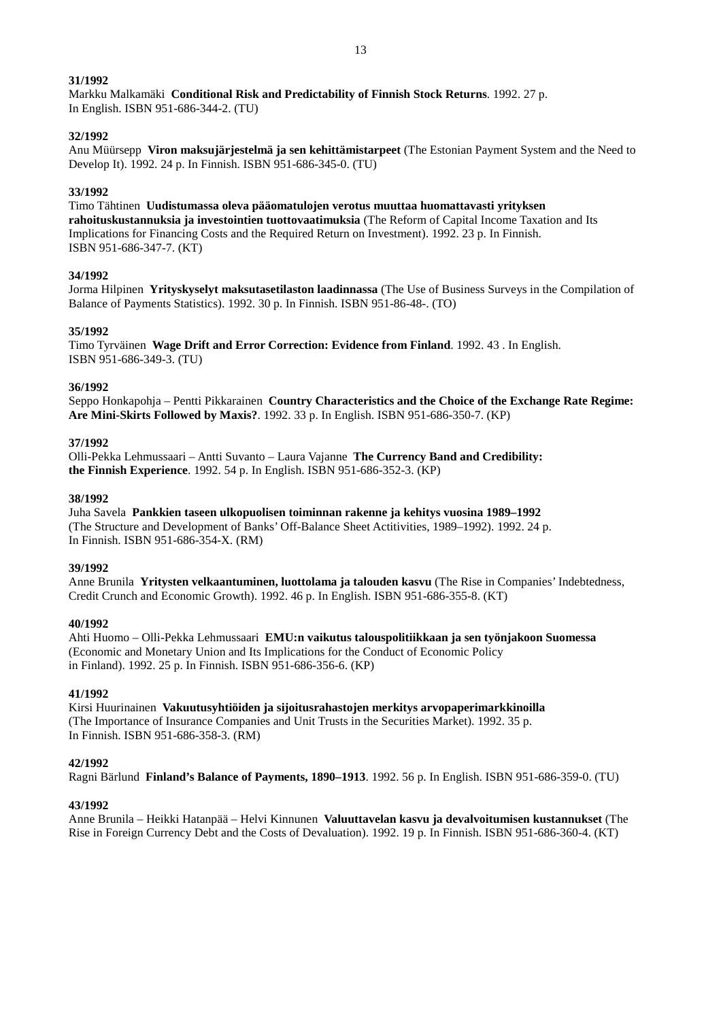Markku Malkamäki **Conditional Risk and Predictability of Finnish Stock Returns**. 1992. 27 p. In English. ISBN 951-686-344-2. (TU)

## **32/1992**

Anu Müürsepp **Viron maksujärjestelmä ja sen kehittämistarpeet** (The Estonian Payment System and the Need to Develop It). 1992. 24 p. In Finnish. ISBN 951-686-345-0. (TU)

## **33/1992**

Timo Tähtinen **Uudistumassa oleva pääomatulojen verotus muuttaa huomattavasti yrityksen rahoituskustannuksia ja investointien tuottovaatimuksia** (The Reform of Capital Income Taxation and Its Implications for Financing Costs and the Required Return on Investment). 1992. 23 p. In Finnish. ISBN 951-686-347-7. (KT)

## **34/1992**

Jorma Hilpinen **Yrityskyselyt maksutasetilaston laadinnassa** (The Use of Business Surveys in the Compilation of Balance of Payments Statistics). 1992. 30 p. In Finnish. ISBN 951-86-48-. (TO)

## **35/1992**

Timo Tyrväinen **Wage Drift and Error Correction: Evidence from Finland**. 1992. 43 . In English. ISBN 951-686-349-3. (TU)

## **36/1992**

Seppo Honkapohja – Pentti Pikkarainen **Country Characteristics and the Choice of the Exchange Rate Regime: Are Mini-Skirts Followed by Maxis?**. 1992. 33 p. In English. ISBN 951-686-350-7. (KP)

## **37/1992**

Olli-Pekka Lehmussaari – Antti Suvanto – Laura Vajanne **The Currency Band and Credibility: the Finnish Experience**. 1992. 54 p. In English. ISBN 951-686-352-3. (KP)

## **38/1992**

Juha Savela **Pankkien taseen ulkopuolisen toiminnan rakenne ja kehitys vuosina 1989–1992** (The Structure and Development of Banks' Off-Balance Sheet Actitivities, 1989–1992). 1992. 24 p. In Finnish. ISBN 951-686-354-X. (RM)

### **39/1992**

Anne Brunila **Yritysten velkaantuminen, luottolama ja talouden kasvu** (The Rise in Companies' Indebtedness, Credit Crunch and Economic Growth). 1992. 46 p. In English. ISBN 951-686-355-8. (KT)

### **40/1992**

Ahti Huomo – Olli-Pekka Lehmussaari **EMU:n vaikutus talouspolitiikkaan ja sen työnjakoon Suomessa** (Economic and Monetary Union and Its Implications for the Conduct of Economic Policy in Finland). 1992. 25 p. In Finnish. ISBN 951-686-356-6. (KP)

### **41/1992**

Kirsi Huurinainen **Vakuutusyhtiöiden ja sijoitusrahastojen merkitys arvopaperimarkkinoilla** (The Importance of Insurance Companies and Unit Trusts in the Securities Market). 1992. 35 p. In Finnish. ISBN 951-686-358-3. (RM)

## **42/1992**

Ragni Bärlund **Finland's Balance of Payments, 1890–1913**. 1992. 56 p. In English. ISBN 951-686-359-0. (TU)

## **43/1992**

Anne Brunila – Heikki Hatanpää – Helvi Kinnunen **Valuuttavelan kasvu ja devalvoitumisen kustannukset** (The Rise in Foreign Currency Debt and the Costs of Devaluation). 1992. 19 p. In Finnish. ISBN 951-686-360-4. (KT)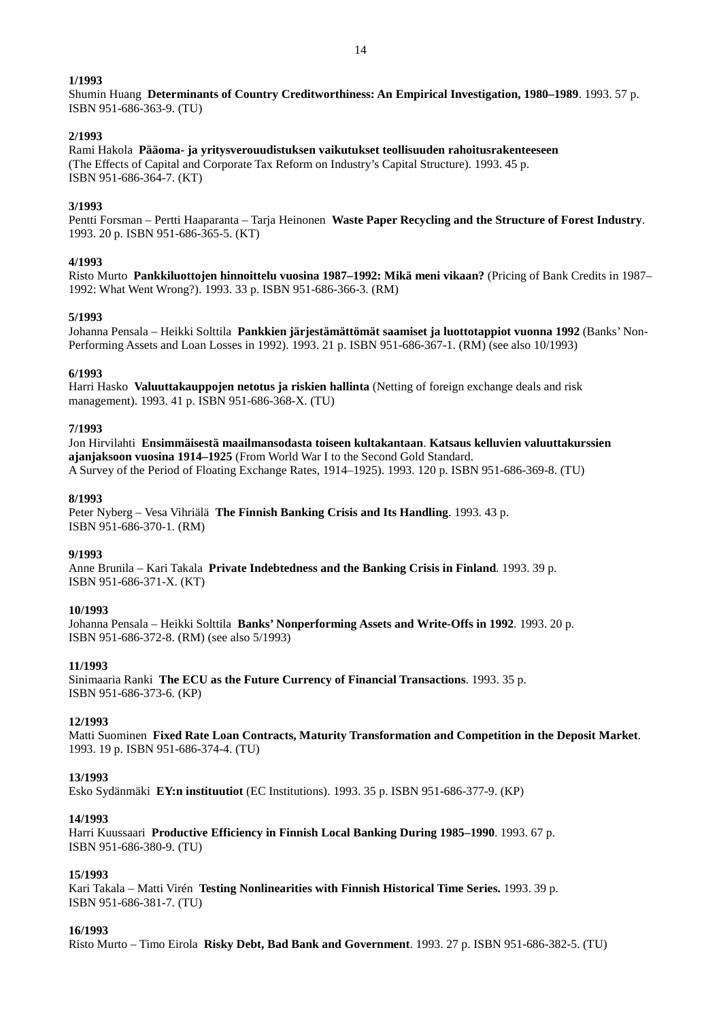Shumin Huang **Determinants of Country Creditworthiness: An Empirical Investigation, 1980–1989**. 1993. 57 p. ISBN 951-686-363-9. (TU)

#### **2/1993**

Rami Hakola **Pääoma- ja yritysverouudistuksen vaikutukset teollisuuden rahoitusrakenteeseen** (The Effects of Capital and Corporate Tax Reform on Industry's Capital Structure). 1993. 45 p. ISBN 951-686-364-7. (KT)

## **3/1993**

Pentti Forsman – Pertti Haaparanta – Tarja Heinonen **Waste Paper Recycling and the Structure of Forest Industry**. 1993. 20 p. ISBN 951-686-365-5. (KT)

#### **4/1993**

Risto Murto **Pankkiluottojen hinnoittelu vuosina 1987–1992: Mikä meni vikaan?** (Pricing of Bank Credits in 1987– 1992: What Went Wrong?). 1993. 33 p. ISBN 951-686-366-3. (RM)

#### **5/1993**

Johanna Pensala – Heikki Solttila **Pankkien järjestämättömät saamiset ja luottotappiot vuonna 1992** (Banks' Non-Performing Assets and Loan Losses in 1992). 1993. 21 p. ISBN 951-686-367-1. (RM) (see also 10/1993)

#### **6/1993**

Harri Hasko **Valuuttakauppojen netotus ja riskien hallinta** (Netting of foreign exchange deals and risk management). 1993. 41 p. ISBN 951-686-368-X. (TU)

#### **7/1993**

Jon Hirvilahti **Ensimmäisestä maailmansodasta toiseen kultakantaan**. **Katsaus kelluvien valuuttakurssien ajanjaksoon vuosina 1914–1925** (From World War I to the Second Gold Standard. A Survey of the Period of Floating Exchange Rates, 1914–1925). 1993. 120 p. ISBN 951-686-369-8. (TU)

#### **8/1993**

Peter Nyberg – Vesa Vihriälä **The Finnish Banking Crisis and Its Handling**. 1993. 43 p. ISBN 951-686-370-1. (RM)

### **9/1993**

Anne Brunila – Kari Takala **Private Indebtedness and the Banking Crisis in Finland**. 1993. 39 p. ISBN 951-686-371-X. (KT)

#### **10/1993**

Johanna Pensala – Heikki Solttila **Banks' Nonperforming Assets and Write-Offs in 1992**. 1993. 20 p. ISBN 951-686-372-8. (RM) (see also 5/1993)

### **11/1993**

Sinimaaria Ranki **The ECU as the Future Currency of Financial Transactions**. 1993. 35 p. ISBN 951-686-373-6. (KP)

### **12/1993**

Matti Suominen **Fixed Rate Loan Contracts, Maturity Transformation and Competition in the Deposit Market**. 1993. 19 p. ISBN 951-686-374-4. (TU)

### **13/1993**

Esko Sydänmäki **EY:n instituutiot** (EC Institutions). 1993. 35 p. ISBN 951-686-377-9. (KP)

### **14/1993**

Harri Kuussaari **Productive Efficiency in Finnish Local Banking During 1985–1990**. 1993. 67 p. ISBN 951-686-380-9. (TU)

### **15/1993**

Kari Takala – Matti Virén **Testing Nonlinearities with Finnish Historical Time Series.** 1993. 39 p. ISBN 951-686-381-7. (TU)

#### **16/1993**

Risto Murto – Timo Eirola **Risky Debt, Bad Bank and Government**. 1993. 27 p. ISBN 951-686-382-5. (TU)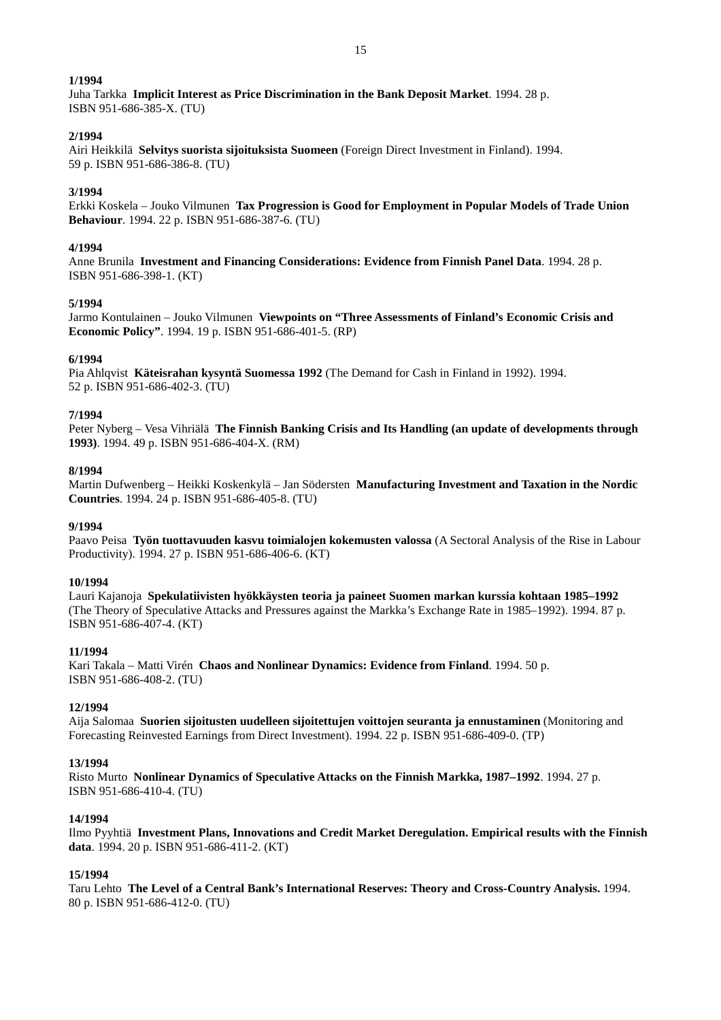Juha Tarkka **Implicit Interest as Price Discrimination in the Bank Deposit Market**. 1994. 28 p. ISBN 951-686-385-X. (TU)

## **2/1994**

Airi Heikkilä **Selvitys suorista sijoituksista Suomeen** (Foreign Direct Investment in Finland). 1994. 59 p. ISBN 951-686-386-8. (TU)

## **3/1994**

Erkki Koskela – Jouko Vilmunen **Tax Progression is Good for Employment in Popular Models of Trade Union Behaviour**. 1994. 22 p. ISBN 951-686-387-6. (TU)

## **4/1994**

Anne Brunila **Investment and Financing Considerations: Evidence from Finnish Panel Data**. 1994. 28 p. ISBN 951-686-398-1. (KT)

### **5/1994**

Jarmo Kontulainen – Jouko Vilmunen **Viewpoints on "Three Assessments of Finland's Economic Crisis and Economic Policy"**. 1994. 19 p. ISBN 951-686-401-5. (RP)

## **6/1994**

Pia Ahlqvist **Käteisrahan kysyntä Suomessa 1992** (The Demand for Cash in Finland in 1992). 1994. 52 p. ISBN 951-686-402-3. (TU)

### **7/1994**

Peter Nyberg – Vesa Vihriälä **The Finnish Banking Crisis and Its Handling (an update of developments through 1993)**. 1994. 49 p. ISBN 951-686-404-X. (RM)

## **8/1994**

Martin Dufwenberg – Heikki Koskenkylä – Jan Södersten **Manufacturing Investment and Taxation in the Nordic Countries**. 1994. 24 p. ISBN 951-686-405-8. (TU)

### **9/1994**

Paavo Peisa **Työn tuottavuuden kasvu toimialojen kokemusten valossa** (A Sectoral Analysis of the Rise in Labour Productivity). 1994. 27 p. ISBN 951-686-406-6. (KT)

### **10/1994**

Lauri Kajanoja **Spekulatiivisten hyökkäysten teoria ja paineet Suomen markan kurssia kohtaan 1985–1992** (The Theory of Speculative Attacks and Pressures against the Markka's Exchange Rate in 1985–1992). 1994. 87 p. ISBN 951-686-407-4. (KT)

### **11/1994**

Kari Takala – Matti Virén **Chaos and Nonlinear Dynamics: Evidence from Finland**. 1994. 50 p. ISBN 951-686-408-2. (TU)

### **12/1994**

Aija Salomaa **Suorien sijoitusten uudelleen sijoitettujen voittojen seuranta ja ennustaminen** (Monitoring and Forecasting Reinvested Earnings from Direct Investment). 1994. 22 p. ISBN 951-686-409-0. (TP)

### **13/1994**

Risto Murto **Nonlinear Dynamics of Speculative Attacks on the Finnish Markka, 1987–1992**. 1994. 27 p. ISBN 951-686-410-4. (TU)

### **14/1994**

Ilmo Pyyhtiä **Investment Plans, Innovations and Credit Market Deregulation. Empirical results with the Finnish data**. 1994. 20 p. ISBN 951-686-411-2. (KT)

## **15/1994**

Taru Lehto **The Level of a Central Bank's International Reserves: Theory and Cross-Country Analysis.** 1994. 80 p. ISBN 951-686-412-0. (TU)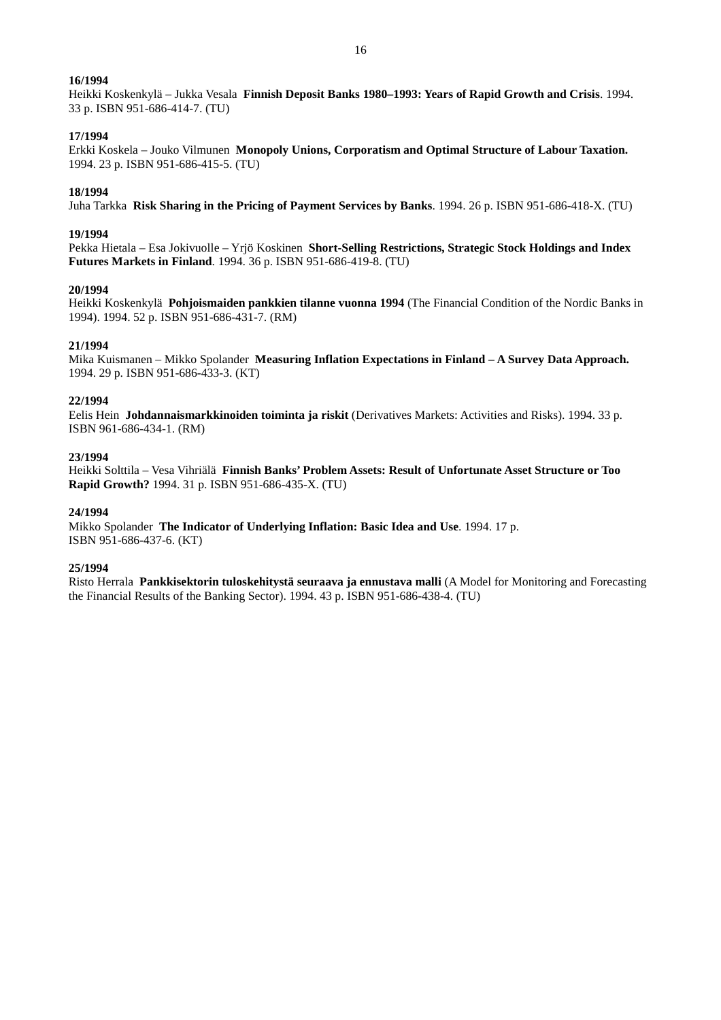Heikki Koskenkylä – Jukka Vesala **Finnish Deposit Banks 1980–1993: Years of Rapid Growth and Crisis**. 1994. 33 p. ISBN 951-686-414-7. (TU)

#### **17/1994**

Erkki Koskela – Jouko Vilmunen **Monopoly Unions, Corporatism and Optimal Structure of Labour Taxation.** 1994. 23 p. ISBN 951-686-415-5. (TU)

#### **18/1994**

Juha Tarkka **Risk Sharing in the Pricing of Payment Services by Banks**. 1994. 26 p. ISBN 951-686-418-X. (TU)

#### **19/1994**

Pekka Hietala – Esa Jokivuolle – Yrjö Koskinen **Short-Selling Restrictions, Strategic Stock Holdings and Index Futures Markets in Finland**. 1994. 36 p. ISBN 951-686-419-8. (TU)

### **20/1994**

Heikki Koskenkylä **Pohjoismaiden pankkien tilanne vuonna 1994** (The Financial Condition of the Nordic Banks in 1994). 1994. 52 p. ISBN 951-686-431-7. (RM)

#### **21/1994**

Mika Kuismanen – Mikko Spolander **Measuring Inflation Expectations in Finland – A Survey Data Approach.** 1994. 29 p. ISBN 951-686-433-3. (KT)

#### **22/1994**

Eelis Hein **Johdannaismarkkinoiden toiminta ja riskit** (Derivatives Markets: Activities and Risks). 1994. 33 p. ISBN 961-686-434-1. (RM)

## **23/1994**

Heikki Solttila – Vesa Vihriälä **Finnish Banks' Problem Assets: Result of Unfortunate Asset Structure or Too Rapid Growth?** 1994. 31 p. ISBN 951-686-435-X. (TU)

#### **24/1994**

Mikko Spolander **The Indicator of Underlying Inflation: Basic Idea and Use**. 1994. 17 p. ISBN 951-686-437-6. (KT)

#### **25/1994**

Risto Herrala **Pankkisektorin tuloskehitystä seuraava ja ennustava malli** (A Model for Monitoring and Forecasting the Financial Results of the Banking Sector). 1994. 43 p. ISBN 951-686-438-4. (TU)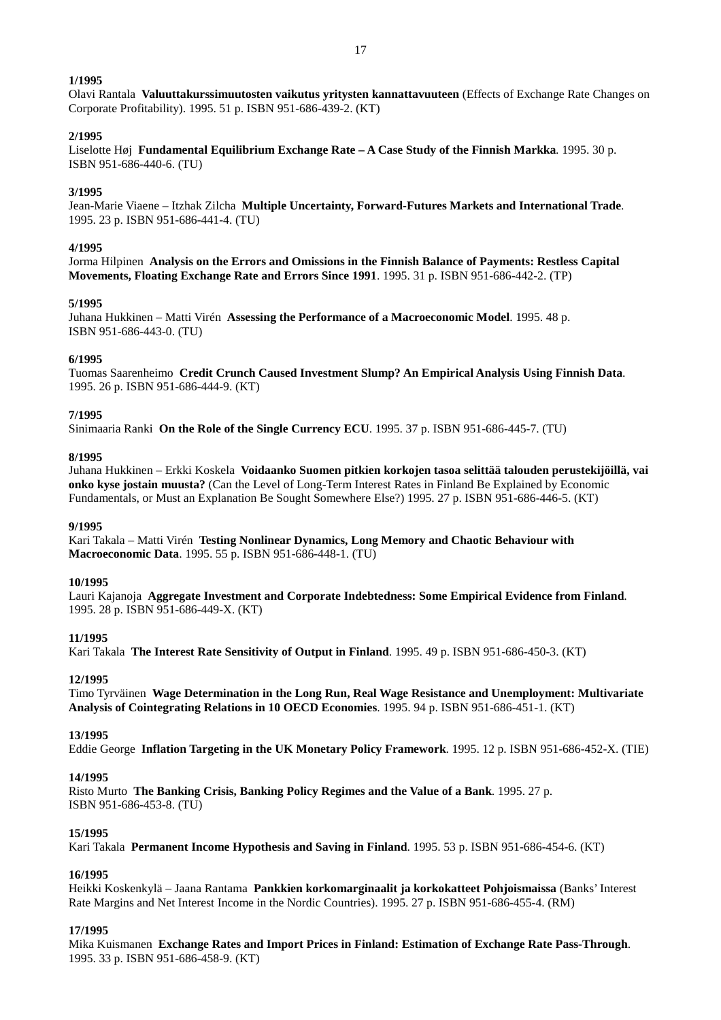Olavi Rantala **Valuuttakurssimuutosten vaikutus yritysten kannattavuuteen** (Effects of Exchange Rate Changes on Corporate Profitability). 1995. 51 p. ISBN 951-686-439-2. (KT)

### **2/1995**

Liselotte Høj **Fundamental Equilibrium Exchange Rate – A Case Study of the Finnish Markka**. 1995. 30 p. ISBN 951-686-440-6. (TU)

## **3/1995**

Jean-Marie Viaene – Itzhak Zilcha **Multiple Uncertainty, Forward-Futures Markets and International Trade**. 1995. 23 p. ISBN 951-686-441-4. (TU)

### **4/1995**

Jorma Hilpinen **Analysis on the Errors and Omissions in the Finnish Balance of Payments: Restless Capital Movements, Floating Exchange Rate and Errors Since 1991**. 1995. 31 p. ISBN 951-686-442-2. (TP)

### **5/1995**

Juhana Hukkinen – Matti Virén **Assessing the Performance of a Macroeconomic Model**. 1995. 48 p. ISBN 951-686-443-0. (TU)

### **6/1995**

Tuomas Saarenheimo **Credit Crunch Caused Investment Slump? An Empirical Analysis Using Finnish Data**. 1995. 26 p. ISBN 951-686-444-9. (KT)

### **7/1995**

Sinimaaria Ranki **On the Role of the Single Currency ECU**. 1995. 37 p. ISBN 951-686-445-7. (TU)

#### **8/1995**

Juhana Hukkinen – Erkki Koskela **Voidaanko Suomen pitkien korkojen tasoa selittää talouden perustekijöillä, vai onko kyse jostain muusta?** (Can the Level of Long-Term Interest Rates in Finland Be Explained by Economic Fundamentals, or Must an Explanation Be Sought Somewhere Else?) 1995. 27 p. ISBN 951-686-446-5. (KT)

### **9/1995**

Kari Takala – Matti Virén **Testing Nonlinear Dynamics, Long Memory and Chaotic Behaviour with Macroeconomic Data**. 1995. 55 p. ISBN 951-686-448-1. (TU)

### **10/1995**

Lauri Kajanoja **Aggregate Investment and Corporate Indebtedness: Some Empirical Evidence from Finland**. 1995. 28 p. ISBN 951-686-449-X. (KT)

### **11/1995**

Kari Takala **The Interest Rate Sensitivity of Output in Finland**. 1995. 49 p. ISBN 951-686-450-3. (KT)

# **12/1995**

Timo Tyrväinen **Wage Determination in the Long Run, Real Wage Resistance and Unemployment: Multivariate Analysis of Cointegrating Relations in 10 OECD Economies**. 1995. 94 p. ISBN 951-686-451-1. (KT)

### **13/1995**

Eddie George **Inflation Targeting in the UK Monetary Policy Framework**. 1995. 12 p. ISBN 951-686-452-X. (TIE)

### **14/1995**

Risto Murto **The Banking Crisis, Banking Policy Regimes and the Value of a Bank**. 1995. 27 p. ISBN 951-686-453-8. (TU)

### **15/1995**

Kari Takala **Permanent Income Hypothesis and Saving in Finland**. 1995. 53 p. ISBN 951-686-454-6. (KT)

### **16/1995**

Heikki Koskenkylä – Jaana Rantama **Pankkien korkomarginaalit ja korkokatteet Pohjoismaissa** (Banks' Interest Rate Margins and Net Interest Income in the Nordic Countries). 1995. 27 p. ISBN 951-686-455-4. (RM)

## **17/1995**

Mika Kuismanen **Exchange Rates and Import Prices in Finland: Estimation of Exchange Rate Pass-Through**. 1995. 33 p. ISBN 951-686-458-9. (KT)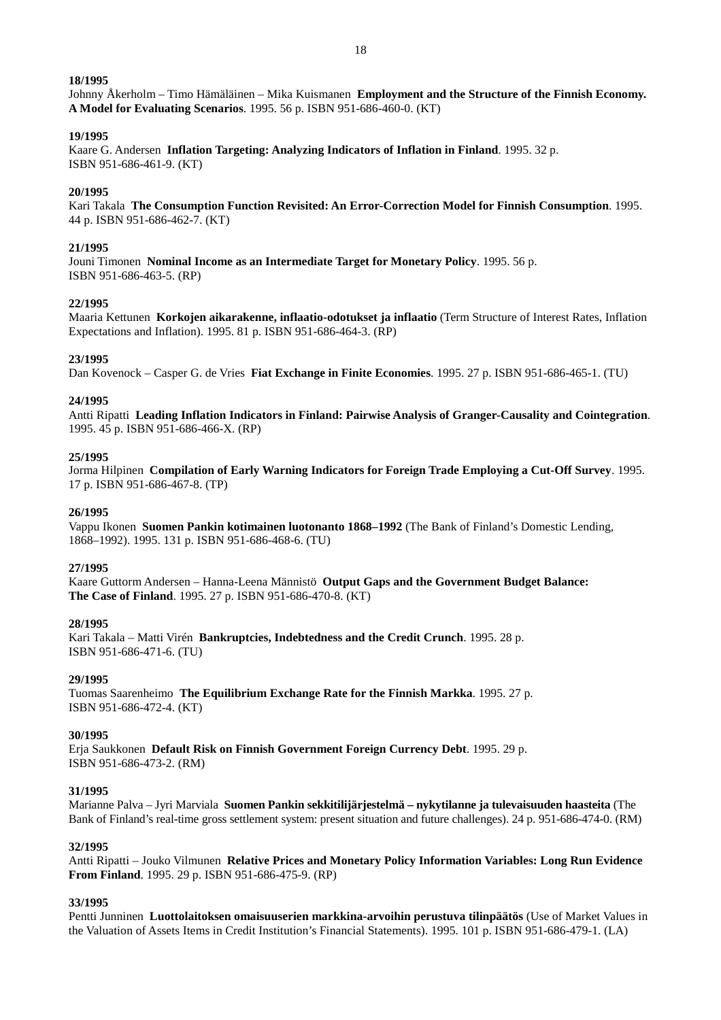Johnny Åkerholm – Timo Hämäläinen – Mika Kuismanen **Employment and the Structure of the Finnish Economy. A Model for Evaluating Scenarios**. 1995. 56 p. ISBN 951-686-460-0. (KT)

## **19/1995**

Kaare G. Andersen **Inflation Targeting: Analyzing Indicators of Inflation in Finland**. 1995. 32 p. ISBN 951-686-461-9. (KT)

## **20/1995**

Kari Takala **The Consumption Function Revisited: An Error-Correction Model for Finnish Consumption**. 1995. 44 p. ISBN 951-686-462-7. (KT)

## **21/1995**

Jouni Timonen **Nominal Income as an Intermediate Target for Monetary Policy**. 1995. 56 p. ISBN 951-686-463-5. (RP)

## **22/1995**

Maaria Kettunen **Korkojen aikarakenne, inflaatio-odotukset ja inflaatio** (Term Structure of Interest Rates, Inflation Expectations and Inflation). 1995. 81 p. ISBN 951-686-464-3. (RP)

## **23/1995**

Dan Kovenock – Casper G. de Vries **Fiat Exchange in Finite Economies**. 1995. 27 p. ISBN 951-686-465-1. (TU)

## **24/1995**

Antti Ripatti **Leading Inflation Indicators in Finland: Pairwise Analysis of Granger-Causality and Cointegration**. 1995. 45 p. ISBN 951-686-466-X. (RP)

## **25/1995**

Jorma Hilpinen **Compilation of Early Warning Indicators for Foreign Trade Employing a Cut-Off Survey**. 1995. 17 p. ISBN 951-686-467-8. (TP)

## **26/1995**

Vappu Ikonen **Suomen Pankin kotimainen luotonanto 1868–1992** (The Bank of Finland's Domestic Lending, 1868–1992). 1995. 131 p. ISBN 951-686-468-6. (TU)

### **27/1995**

Kaare Guttorm Andersen – Hanna-Leena Männistö **Output Gaps and the Government Budget Balance: The Case of Finland**. 1995. 27 p. ISBN 951-686-470-8. (KT)

### **28/1995**

Kari Takala – Matti Virén **Bankruptcies, Indebtedness and the Credit Crunch**. 1995. 28 p. ISBN 951-686-471-6. (TU)

### **29/1995**

Tuomas Saarenheimo **The Equilibrium Exchange Rate for the Finnish Markka**. 1995. 27 p. ISBN 951-686-472-4. (KT)

### **30/1995**

Erja Saukkonen **Default Risk on Finnish Government Foreign Currency Debt**. 1995. 29 p. ISBN 951-686-473-2. (RM)

### **31/1995**

Marianne Palva – Jyri Marviala **Suomen Pankin sekkitilijärjestelmä – nykytilanne ja tulevaisuuden haasteita** (The Bank of Finland's real-time gross settlement system: present situation and future challenges). 24 p. 951-686-474-0. (RM)

### **32/1995**

Antti Ripatti – Jouko Vilmunen **Relative Prices and Monetary Policy Information Variables: Long Run Evidence From Finland**. 1995. 29 p. ISBN 951-686-475-9. (RP)

## **33/1995**

Pentti Junninen **Luottolaitoksen omaisuuserien markkina-arvoihin perustuva tilinpäätös** (Use of Market Values in the Valuation of Assets Items in Credit Institution's Financial Statements). 1995. 101 p. ISBN 951-686-479-1. (LA)